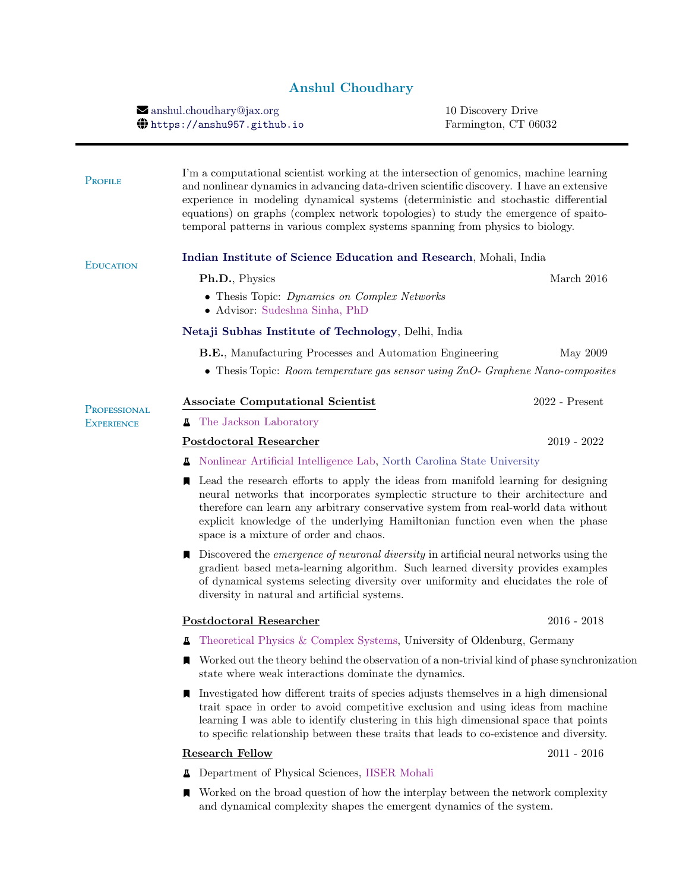## Anshul Choudhary

 $\blacktriangleright$ [anshul.choudhary@jax.org](mailto:anshul.choudhary@jax.org) 10 Discovery Drive <https://anshu957.github.io> Farmington, CT 06032

| PROFILE                           | I'm a computational scientist working at the intersection of genomics, machine learning<br>and nonlinear dynamics in advancing data-driven scientific discovery. I have an extensive<br>experience in modeling dynamical systems (deterministic and stochastic differential<br>equations) on graphs (complex network topologies) to study the emergence of spaito-<br>temporal patterns in various complex systems spanning from physics to biology. |                  |  |  |
|-----------------------------------|------------------------------------------------------------------------------------------------------------------------------------------------------------------------------------------------------------------------------------------------------------------------------------------------------------------------------------------------------------------------------------------------------------------------------------------------------|------------------|--|--|
| <b>EDUCATION</b>                  | Indian Institute of Science Education and Research, Mohali, India                                                                                                                                                                                                                                                                                                                                                                                    |                  |  |  |
|                                   | Ph.D., Physics                                                                                                                                                                                                                                                                                                                                                                                                                                       | March 2016       |  |  |
|                                   | • Thesis Topic: Dynamics on Complex Networks<br>• Advisor: Sudeshna Sinha, PhD                                                                                                                                                                                                                                                                                                                                                                       |                  |  |  |
|                                   | Netaji Subhas Institute of Technology, Delhi, India                                                                                                                                                                                                                                                                                                                                                                                                  |                  |  |  |
|                                   | <b>B.E.</b> , Manufacturing Processes and Automation Engineering<br>• Thesis Topic: Room temperature gas sensor using $ZnO$ - Graphene Nano-composites                                                                                                                                                                                                                                                                                               | May 2009         |  |  |
|                                   | <b>Associate Computational Scientist</b>                                                                                                                                                                                                                                                                                                                                                                                                             | $2022$ - Present |  |  |
| PROFESSIONAL<br><b>EXPERIENCE</b> | The Jackson Laboratory                                                                                                                                                                                                                                                                                                                                                                                                                               |                  |  |  |
|                                   | <b>Postdoctoral Researcher</b>                                                                                                                                                                                                                                                                                                                                                                                                                       | $2019 - 2022$    |  |  |
|                                   | <b>A</b> Nonlinear Artificial Intelligence Lab, North Carolina State University                                                                                                                                                                                                                                                                                                                                                                      |                  |  |  |
|                                   | Lead the research efforts to apply the ideas from manifold learning for designing<br>neural networks that incorporates symplectic structure to their architecture and<br>therefore can learn any arbitrary conservative system from real-world data without<br>explicit knowledge of the underlying Hamiltonian function even when the phase<br>space is a mixture of order and chaos.                                                               |                  |  |  |
|                                   | $\blacksquare$ Discovered the <i>emergence of neuronal diversity</i> in artificial neural networks using the<br>gradient based meta-learning algorithm. Such learned diversity provides examples<br>of dynamical systems selecting diversity over uniformity and elucidates the role of<br>diversity in natural and artificial systems.                                                                                                              |                  |  |  |
|                                   | Postdoctoral Researcher                                                                                                                                                                                                                                                                                                                                                                                                                              | $2016 - 2018$    |  |  |
|                                   | Theoretical Physics & Complex Systems, University of Oldenburg, Germany<br>д                                                                                                                                                                                                                                                                                                                                                                         |                  |  |  |
|                                   | Worked out the theory behind the observation of a non-trivial kind of phase synchronization<br>state where weak interactions dominate the dynamics.                                                                                                                                                                                                                                                                                                  |                  |  |  |
|                                   | Investigated how different traits of species adjusts themselves in a high dimensional<br>trait space in order to avoid competitive exclusion and using ideas from machine<br>learning I was able to identify clustering in this high dimensional space that points<br>to specific relationship between these traits that leads to co-existence and diversity.                                                                                        |                  |  |  |
|                                   | <b>Research Fellow</b>                                                                                                                                                                                                                                                                                                                                                                                                                               | $2011 - 2016$    |  |  |
|                                   |                                                                                                                                                                                                                                                                                                                                                                                                                                                      |                  |  |  |

- <sup>e</sup> Department of Physical Sciences, [IISER Mohali](https://www.iisermohali.ac.in)
- $\blacksquare$  Worked on the broad question of how the interplay between the network complexity and dynamical complexity shapes the emergent dynamics of the system.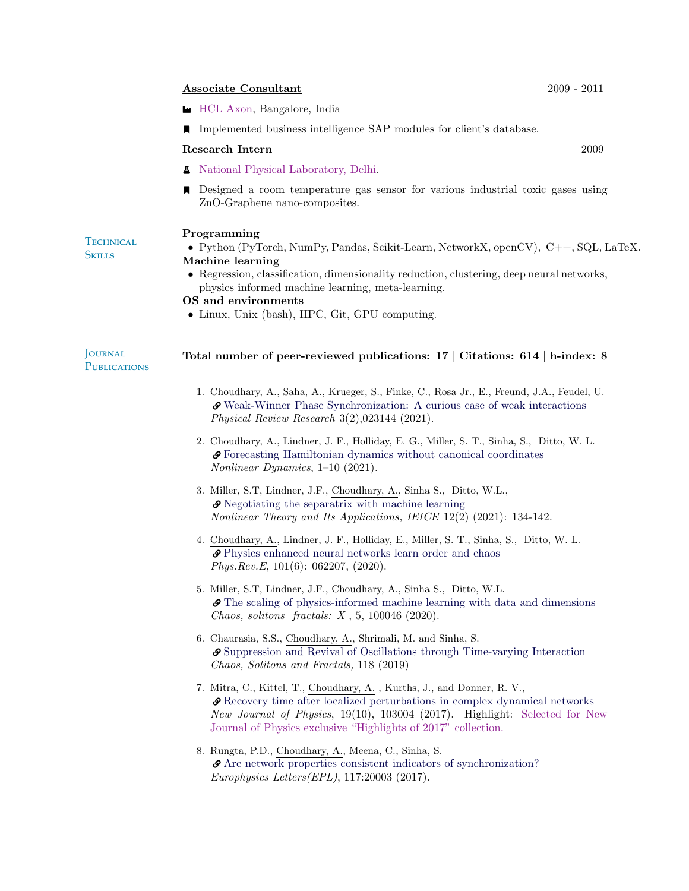#### Associate Consultant 2009 - 2011

- $\blacksquare$  [HCL Axon,](https://en.wikipedia.org/wiki/HCL_Axon) Bangalore, India
- ] Implemented business intelligence SAP modules for client's database.

#### Research Intern 2009

- **A** [National Physical Laboratory, Delhi.](https://www.nplindia.org)
- ] Designed a room temperature gas sensor for various industrial toxic gases using ZnO-Graphene nano-composites.

#### Programming

#### **TECHNICAL Skills**

- Python (PyTorch, NumPy, Pandas, Scikit-Learn, NetworkX, openCV), C++, SQL, LaTeX. Machine learning
	- Regression, classification, dimensionality reduction, clustering, deep neural networks, physics informed machine learning, meta-learning.

#### OS and environments

• Linux, Unix (bash), HPC, Git, GPU computing.

#### **JOURNAL PUBLICATIONS** Total number of peer-reviewed publications: 17 | Citations: 614 | h-index: 8

- 1. Choudhary, A., Saha, A., Krueger, S., Finke, C., Rosa Jr., E., Freund, J.A., Feudel, U. [Weak-Winner Phase Synchronization: A curious case of weak interactions](https://journals.aps.org/prresearch/abstract/10.1103/PhysRevResearch.3.023144) Physical Review Research 3(2),023144 (2021).
- 2. Choudhary, A., Lindner, J. F., Holliday, E. G., Miller, S. T., Sinha, S., Ditto, W. L. [Forecasting Hamiltonian dynamics without canonical coordinates](https://link.springer.com/article/10.1007/s11071-020-06185-2) Nonlinear Dynamics, 1–10 (2021).
- 3. Miller, S.T, Lindner, J.F., Choudhary, A., Sinha S., Ditto, W.L., [Negotiating the separatrix with machine learning](https://doi.org/10.1587/nolta.12.134) Nonlinear Theory and Its Applications, IEICE 12(2) (2021): 134-142.
- 4. Choudhary, A., Lindner, J. F., Holliday, E., Miller, S. T., Sinha, S., Ditto, W. L. [Physics enhanced neural networks learn order and chaos](https://doi.org/10.1103/PhysRevE.101.062207) Phys.Rev.E, 101(6): 062207, (2020).
- 5. Miller, S.T, Lindner, J.F., Choudhary, A., Sinha S., Ditto, W.L. [The scaling of physics-informed machine learning with data and dimensions](https://doi.org/10.1016/j.csfx.2020.100046) Chaos, solitons fractals: X , 5, 100046 (2020).
- 6. Chaurasia, S.S., Choudhary, A., Shrimali, M. and Sinha, S. [Suppression and Revival of Oscillations through Time-varying Interaction](https://doi.org/10.1016/j.chaos.2018.11.026) Chaos, Solitons and Fractals, 118 (2019)
- 7. Mitra, C., Kittel, T., Choudhary, A. , Kurths, J., and Donner, R. V., [Recovery time after localized perturbations in complex dynamical networks](https://doi.org/10.1088/1367-2630/aa7fab) New Journal of Physics, 19(10), 103004 (2017). Highlight: Selected for New Journal of Physics exclusive "Highlights of 2017" collection.
- 8. Rungta, P.D., Choudhary, A., Meena, C., Sinha, S. [Are network properties consistent indicators of synchronization?](https://doi.org/10.1209/0295-5075/117/20003) Europhysics Letters(EPL), 117:20003 (2017).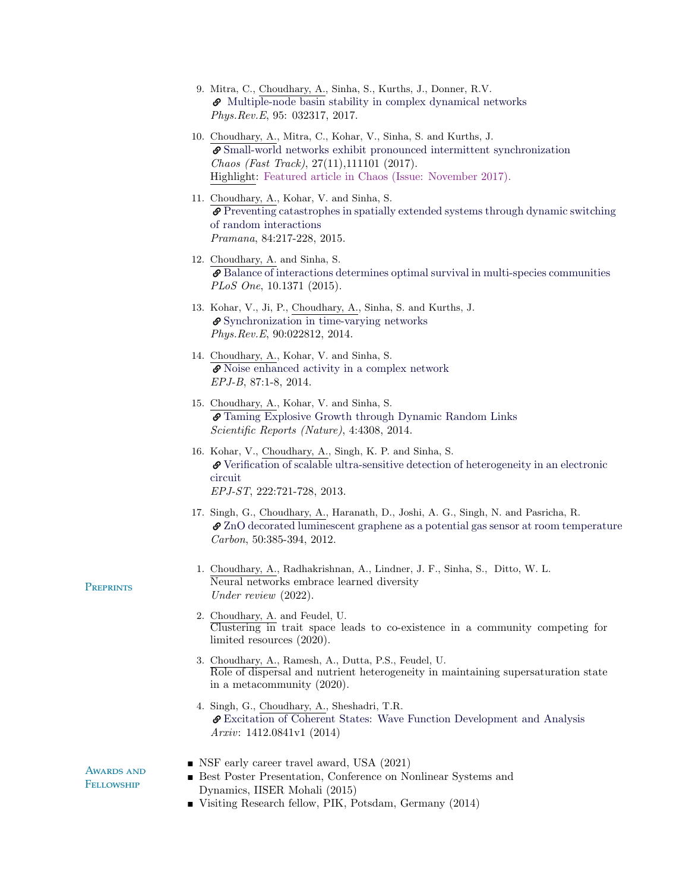| 9. Mitra, C., Choudhary, A., Sinha, S., Kurths, J., Donner, R.V.      |
|-----------------------------------------------------------------------|
| $\bullet$ Multiple-node basin stability in complex dynamical networks |
| <i>Phys.Rev.E</i> , 95: 032317, 2017.                                 |

- 10. Choudhary, A., Mitra, C., Kohar, V., Sinha, S. and Kurths, J. [Small-world networks exhibit pronounced intermittent synchronization](https://doi.org/10.1063/1.5002883) Chaos (Fast Track), 27(11),111101 (2017). Highlight: Featured article in Chaos (Issue: November 2017).
- 11. Choudhary, A., Kohar, V. and Sinha, S. [Preventing catastrophes in spatially extended systems through dynamic switchin](https://doi.org/10.1007/s12043-014-0926-z)g [of random interactions](https://doi.org/10.1007/s12043-014-0926-z) Pramana, 84:217-228, 2015.
- 12. Choudhary, A. and Sinha, S.  $\mathcal O$  [Balance of interactions determines optimal survival in multi-species communities](https://doi.org/10.1371/journal.pone.0145278) PLoS One, 10.1371 (2015).
- 13. Kohar, V., Ji, P., Choudhary, A., Sinha, S. and Kurths, J. [Synchronization in time-varying networks](https://doi.org/10.1103/PhysRevE.90.022812) Phys.Rev.E, 90:022812, 2014.
- 14. Choudhary, A., Kohar, V. and Sinha, S. [Noise enhanced activity in a complex network](https://doi.org/10.1140/epjb/e2014-50382-y) EPJ-B, 87:1-8, 2014.
- 15. Choudhary, A., Kohar, V. and Sinha, S. [Taming Explosive Growth through Dynamic Random Links](https://doi.org/10.1038/srep04308) Scientific Reports (Nature), 4:4308, 2014.
- 16. Kohar, V., Choudhary, A., Singh, K. P. and Sinha, S. [Verification of scalable ultra-sensitive detection of heterogeneity in an electronic](https://doi.org/10.1140/epjst/e2013-01875-2) [circuit](https://doi.org/10.1140/epjst/e2013-01875-2) EPJ-ST, 222:721-728, 2013.
- 17. Singh, G., Choudhary, A., Haranath, D., Joshi, A. G., Singh, N. and Pasricha, R.  $\mathcal{O}$  [ZnO decorated luminescent graphene as a potential gas sensor at room temperature](https://doi.org/10.1016/j.carbon.2011.08.050) Carbon, 50:385-394, 2012.
- 1. Choudhary, A., Radhakrishnan, A., Lindner, J. F., Sinha, S., Ditto, W. L. Neural networks embrace learned diversity Under review (2022).
- 2. Choudhary, A. and Feudel, U. Clustering in trait space leads to co-existence in a community competing for limited resources (2020).
- 3. Choudhary, A., Ramesh, A., Dutta, P.S., Feudel, U. Role of dispersal and nutrient heterogeneity in maintaining supersaturation state in a metacommunity (2020).
- 4. Singh, G., Choudhary, A., Sheshadri, T.R.  $\pmb{\mathscr{P}}$  [Excitation of Coherent States: Wave Function Development and Analysis](https://arxiv.org/abs/1412.0841) Arxiv: 1412.0841v1 (2014)

AWARDS AND **FELLOWSHIP** 

**PREPRINTS** 

- NSF early career travel award, USA (2021)
- Best Poster Presentation, Conference on Nonlinear Systems and Dynamics, IISER Mohali (2015)
- Visiting Research fellow, PIK, Potsdam, Germany (2014)